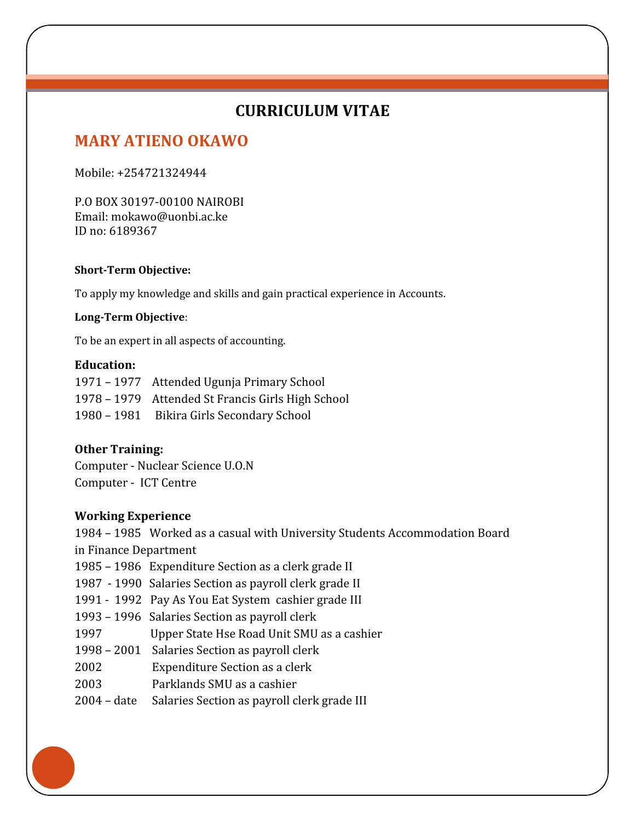## **CURRICULUM VITAE**

# **MARY ATIENO OKAWO**

Mobile: +254721324944

cccccccc

P.O BOX 30197-00100 NAIROBI Email: mokawo@uonbi.ac.ke ID no: 6189367

#### **Short-Term Objective:**

To apply my knowledge and skills and gain practical experience in Accounts.

#### **Long-Term Objective**:

To be an expert in all aspects of accounting.

### **Education:**

| 1971 – 1977 Attended Ugunja Primary School        |
|---------------------------------------------------|
| 1978 – 1979 Attended St Francis Girls High School |
| 1980 – 1981 Bikira Girls Secondary School         |

### **Other Training:**

Computer - Nuclear Science U.O.N Computer - ICT Centre

#### **Working Experience**

1984 – 1985 Worked as a casual with University Students Accommodation Board in Finance Department

- 1985 1986 Expenditure Section as a clerk grade II
- 1987 1990 Salaries Section as payroll clerk grade II
- 1991 1992 Pay As You Eat System cashier grade III
- 1993 1996 Salaries Section as payroll clerk
- 1997 Upper State Hse Road Unit SMU as a cashier
- 1998 2001 Salaries Section as payroll clerk
- 2002 Expenditure Section as a clerk
- 2003 Parklands SMU as a cashier
- 2004 date Salaries Section as payroll clerk grade III